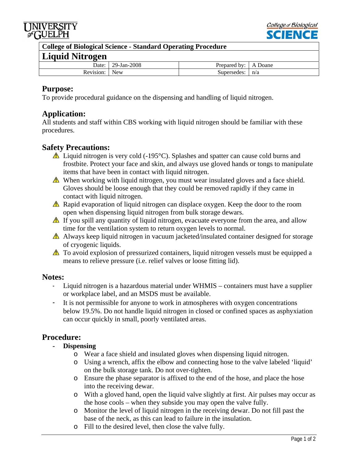



**College of Biological Science - Standard Operating Procedure** 

# **Liquid Nitrogen**

| $2224$ which is the contract of $\sim$ |             |                        |                    |
|----------------------------------------|-------------|------------------------|--------------------|
| Date:                                  | 29-Jan-2008 | hv·<br><b>Prepared</b> | Joane<br>$\lambda$ |
| Revision:                              | New         | Supersedes:            | n/a                |

## **Purpose:**

To provide procedural guidance on the dispensing and handling of liquid nitrogen.

## **Application:**

All students and staff within CBS working with liquid nitrogen should be familiar with these procedures.

## **Safety Precautions:**

- $\triangle$  Liquid nitrogen is very cold (-195 °C). Splashes and spatter can cause cold burns and frostbite. Protect your face and skin, and always use gloved hands or tongs to manipulate items that have been in contact with liquid nitrogen.
- When working with liquid nitrogen, you must wear insulated gloves and a face shield. Gloves should be loose enough that they could be removed rapidly if they came in contact with liquid nitrogen.
- $\triangle$  Rapid evaporation of liquid nitrogen can displace oxygen. Keep the door to the room open when dispensing liquid nitrogen from bulk storage dewars.
- $\triangle$  If you spill any quantity of liquid nitrogen, evacuate everyone from the area, and allow time for the ventilation system to return oxygen levels to normal.
- A Always keep liquid nitrogen in vacuum jacketed/insulated container designed for storage of cryogenic liquids.
- To avoid explosion of pressurized containers, liquid nitrogen vessels must be equipped a means to relieve pressure (i.e. relief valves or loose fitting lid).

## **Notes:**

- Liquid nitrogen is a hazardous material under WHMIS containers must have a supplier or workplace label, and an MSDS must be available.
- It is not permissible for anyone to work in atmospheres with oxygen concentrations below 19.5%. Do not handle liquid nitrogen in closed or confined spaces as asphyxiation can occur quickly in small, poorly ventilated areas.

## **Procedure:**

- **- Dispensing** 
	- o Wear a face shield and insulated gloves when dispensing liquid nitrogen.
	- o Using a wrench, affix the elbow and connecting hose to the valve labeled 'liquid' on the bulk storage tank. Do not over-tighten.
	- o Ensure the phase separator is affixed to the end of the hose, and place the hose into the receiving dewar.
	- o With a gloved hand, open the liquid valve slightly at first. Air pulses may occur as the hose cools – when they subside you may open the valve fully.
	- o Monitor the level of liquid nitrogen in the receiving dewar. Do not fill past the base of the neck, as this can lead to failure in the insulation.
	- o Fill to the desired level, then close the valve fully.